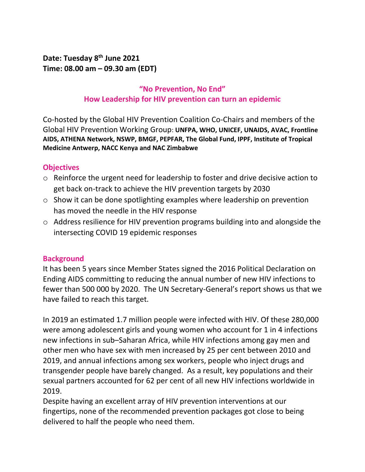**Date: Tuesday 8th June 2021 Time: 08.00 am – 09.30 am (EDT)** 

# **"No Prevention, No End" How Leadership for HIV prevention can turn an epidemic**

Co-hosted by the Global HIV Prevention Coalition Co-Chairs and members of the Global HIV Prevention Working Group: **UNFPA, WHO, UNICEF, UNAIDS, AVAC, Frontline AIDS, ATHENA Network, NSWP, BMGF, PEPFAR, The Global Fund, IPPF, Institute of Tropical Medicine Antwerp, NACC Kenya and NAC Zimbabwe**

#### **Objectives**

- o Reinforce the urgent need for leadership to foster and drive decisive action to get back on-track to achieve the HIV prevention targets by 2030
- o Show it can be done spotlighting examples where leadership on prevention has moved the needle in the HIV response
- o Address resilience for HIV prevention programs building into and alongside the intersecting COVID 19 epidemic responses

### **Background**

It has been 5 years since Member States signed the 2016 Political Declaration on Ending AIDS committing to reducing the annual number of new HIV infections to fewer than 500 000 by 2020. The UN Secretary-General's report shows us that we have failed to reach this target.

In 2019 an estimated 1.7 million people were infected with HIV. Of these 280,000 were among adolescent girls and young women who account for 1 in 4 infections new infections in sub–Saharan Africa, while HIV infections among gay men and other men who have sex with men increased by 25 per cent between 2010 and 2019, and annual infections among sex workers, people who inject drugs and transgender people have barely changed. As a result, key populations and their sexual partners accounted for 62 per cent of all new HIV infections worldwide in 2019.

Despite having an excellent array of HIV prevention interventions at our fingertips, none of the recommended prevention packages got close to being delivered to half the people who need them.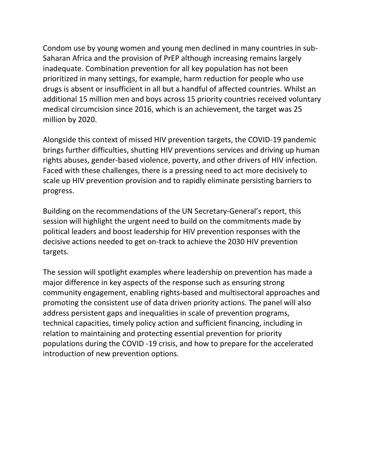Condom use by young women and young men declined in many countries in sub-Saharan Africa and the provision of PrEP although increasing remains largely inadequate. Combination prevention for all key population has not been prioritized in many settings, for example, harm reduction for people who use drugs is absent or insufficient in all but a handful of affected countries. Whilst an additional 15 million men and boys across 15 priority countries received voluntary medical circumcision since 2016, which is an achievement, the target was 25 million by 2020.

Alongside this context of missed HIV prevention targets, the COVID-19 pandemic brings further difficulties, shutting HIV preventions services and driving up human rights abuses, gender-based violence, poverty, and other drivers of HIV infection. Faced with these challenges, there is a pressing need to act more decisively to scale up HIV prevention provision and to rapidly eliminate persisting barriers to progress.

Building on the recommendations of the UN Secretary-General's report, this session will highlight the urgent need to build on the commitments made by political leaders and boost leadership for HIV prevention responses with the decisive actions needed to get on-track to achieve the 2030 HIV prevention targets.

The session will spotlight examples where leadership on prevention has made a major difference in key aspects of the response such as ensuring strong community engagement, enabling rights-based and multisectoral approaches and promoting the consistent use of data driven priority actions. The panel will also address persistent gaps and inequalities in scale of prevention programs, technical capacities, timely policy action and sufficient financing, including in relation to maintaining and protecting essential prevention for priority populations during the COVID -19 crisis, and how to prepare for the accelerated introduction of new prevention options.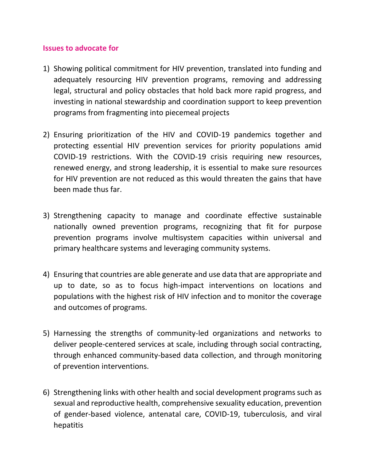#### **Issues to advocate for**

- 1) Showing political commitment for HIV prevention, translated into funding and adequately resourcing HIV prevention programs, removing and addressing legal, structural and policy obstacles that hold back more rapid progress, and investing in national stewardship and coordination support to keep prevention programs from fragmenting into piecemeal projects
- 2) Ensuring prioritization of the HIV and COVID-19 pandemics together and protecting essential HIV prevention services for priority populations amid COVID-19 restrictions. With the COVID-19 crisis requiring new resources, renewed energy, and strong leadership, it is essential to make sure resources for HIV prevention are not reduced as this would threaten the gains that have been made thus far.
- 3) Strengthening capacity to manage and coordinate effective sustainable nationally owned prevention programs, recognizing that fit for purpose prevention programs involve multisystem capacities within universal and primary healthcare systems and leveraging community systems.
- 4) Ensuring that countries are able generate and use data that are appropriate and up to date, so as to focus high-impact interventions on locations and populations with the highest risk of HIV infection and to monitor the coverage and outcomes of programs.
- 5) Harnessing the strengths of community-led organizations and networks to deliver people-centered services at scale, including through social contracting, through enhanced community-based data collection, and through monitoring of prevention interventions.
- 6) Strengthening links with other health and social development programs such as sexual and reproductive health, comprehensive sexuality education, prevention of gender-based violence, antenatal care, COVID-19, tuberculosis, and viral hepatitis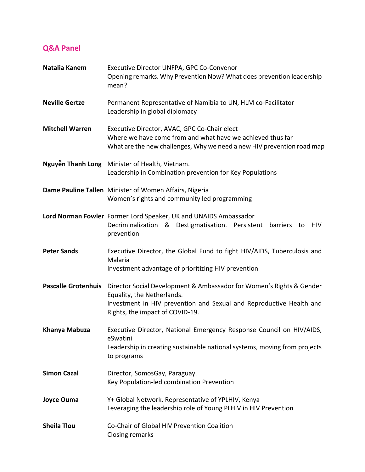# **Q&A Panel**

| Natalia Kanem              | Executive Director UNFPA, GPC Co-Convenor<br>Opening remarks. Why Prevention Now? What does prevention leadership<br>mean?                                                                                   |
|----------------------------|--------------------------------------------------------------------------------------------------------------------------------------------------------------------------------------------------------------|
| <b>Neville Gertze</b>      | Permanent Representative of Namibia to UN, HLM co-Facilitator<br>Leadership in global diplomacy                                                                                                              |
| <b>Mitchell Warren</b>     | Executive Director, AVAC, GPC Co-Chair elect<br>Where we have come from and what have we achieved thus far<br>What are the new challenges, Why we need a new HIV prevention road map                         |
|                            | Nguyễn Thanh Long Minister of Health, Vietnam.<br>Leadership in Combination prevention for Key Populations                                                                                                   |
|                            | Dame Pauline Tallen Minister of Women Affairs, Nigeria<br>Women's rights and community led programming                                                                                                       |
|                            | Lord Norman Fowler Former Lord Speaker, UK and UNAIDS Ambassador<br>Decriminalization & Destigmatisation. Persistent<br>HIV<br>barriers<br>to<br>prevention                                                  |
| <b>Peter Sands</b>         | Executive Director, the Global Fund to fight HIV/AIDS, Tuberculosis and<br>Malaria<br>Investment advantage of prioritizing HIV prevention                                                                    |
| <b>Pascalle Grotenhuis</b> | Director Social Development & Ambassador for Women's Rights & Gender<br>Equality, the Netherlands.<br>Investment in HIV prevention and Sexual and Reproductive Health and<br>Rights, the impact of COVID-19. |
| Khanya Mabuza              | Executive Director, National Emergency Response Council on HIV/AIDS,<br>eSwatini<br>Leadership in creating sustainable national systems, moving from projects<br>to programs                                 |
| <b>Simon Cazal</b>         | Director, SomosGay, Paraguay.<br>Key Population-led combination Prevention                                                                                                                                   |
| <b>Joyce Ouma</b>          | Y+ Global Network. Representative of YPLHIV, Kenya<br>Leveraging the leadership role of Young PLHIV in HIV Prevention                                                                                        |
| <b>Sheila Tlou</b>         | Co-Chair of Global HIV Prevention Coalition<br><b>Closing remarks</b>                                                                                                                                        |